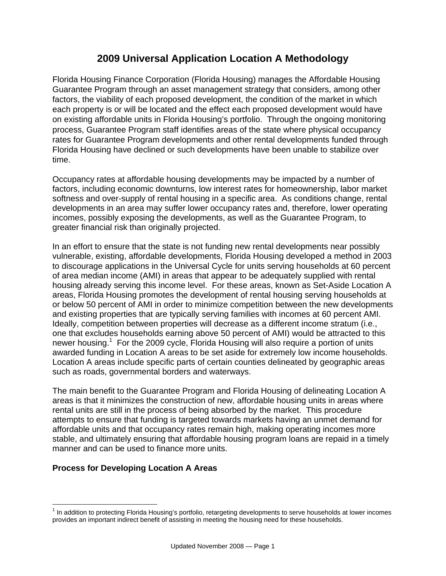## **2009 Universal Application Location A Methodology**

Florida Housing Finance Corporation (Florida Housing) manages the Affordable Housing Guarantee Program through an asset management strategy that considers, among other factors, the viability of each proposed development, the condition of the market in which each property is or will be located and the effect each proposed development would have on existing affordable units in Florida Housing's portfolio. Through the ongoing monitoring process, Guarantee Program staff identifies areas of the state where physical occupancy rates for Guarantee Program developments and other rental developments funded through Florida Housing have declined or such developments have been unable to stabilize over time.

Occupancy rates at affordable housing developments may be impacted by a number of factors, including economic downturns, low interest rates for homeownership, labor market softness and over-supply of rental housing in a specific area. As conditions change, rental developments in an area may suffer lower occupancy rates and, therefore, lower operating incomes, possibly exposing the developments, as well as the Guarantee Program, to greater financial risk than originally projected.

In an effort to ensure that the state is not funding new rental developments near possibly vulnerable, existing, affordable developments, Florida Housing developed a method in 2003 to discourage applications in the Universal Cycle for units serving households at 60 percent of area median income (AMI) in areas that appear to be adequately supplied with rental housing already serving this income level. For these areas, known as Set-Aside Location A areas, Florida Housing promotes the development of rental housing serving households at or below 50 percent of AMI in order to minimize competition between the new developments and existing properties that are typically serving families with incomes at 60 percent AMI. Ideally, competition between properties will decrease as a different income stratum (i.e., one that excludes households earning above 50 percent of AMI) would be attracted to this newer housing.<sup>1</sup> For the 2009 cycle, Florida Housing will also require a portion of units awarded funding in Location A areas to be set aside for extremely low income households. Location A areas include specific parts of certain counties delineated by geographic areas such as roads, governmental borders and waterways.

The main benefit to the Guarantee Program and Florida Housing of delineating Location A areas is that it minimizes the construction of new, affordable housing units in areas where rental units are still in the process of being absorbed by the market. This procedure attempts to ensure that funding is targeted towards markets having an unmet demand for affordable units and that occupancy rates remain high, making operating incomes more stable, and ultimately ensuring that affordable housing program loans are repaid in a timely manner and can be used to finance more units.

## **Process for Developing Location A Areas**

 $\overline{a}$ 

<sup>&</sup>lt;sup>1</sup> In addition to protecting Florida Housing's portfolio, retargeting developments to serve households at lower incomes provides an important indirect benefit of assisting in meeting the housing need for these households.